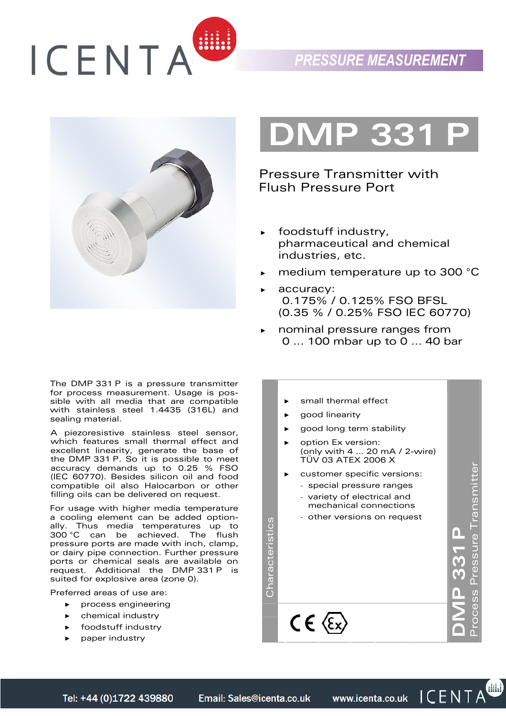



The DMP 331 P is a pressure transmitter for process measurement. Usage is possible with all media that are compatible with stainless steel 1.4435 (316L) and sealing material.

A piezoresistive stainless steel sensor, which features small thermal effect and excellent linearity, generate the base of the DMP 331 P. So it is possible to meet accuracy demands up to 0.25 % FSO (IEC 60770). Besides silicon oil and food compatible oil also Halocarbon or other filling oils can be delivered on request.

For usage with higher media temperature a cooling element can be added optionally. Thus media temperatures up to 300 °C can be achieved. The flush pressure ports are made with inch, clamp, or dairy pipe connection. Further pressure ports or chemical seals are available on request. Additional the DMP 331 P is suited for explosive area (zone 0).

Preferred areas of use are:

- ► process engineering
- ► chemical industry
- foodstuff industry
- paper industry

**DIMP 33** 

Pressure Transmitter with Flush Pressure Port

- foodstuff industry, pharmaceutical and chemical industries, etc.
- medium temperature up to 300 °C
- accuracy: 0.175% / 0.125% FSO BFSL (0.35 % / 0.25% FSO IEC 60770)
- nominal pressure ranges from 0 ... 100 mbar up to 0 ... 40 bar
	- ► small thermal effect
	- good linearity
	- good long term stability
	- option Ex version: (only with 4 … 20 mA / 2-wire) TÜV 03 ATEX 2006 X
	- customer specific versions:
	- special pressure ranges
		- variety of electrical and mechanical connections
	- other versions on request

 $C \in \langle \epsilon_x \rangle$ 

Process Pressure Transmitter Process Pressure Transmitter **DMP 331 P** 

dild)

 $\blacksquare$ 

Characteristics

Characteristics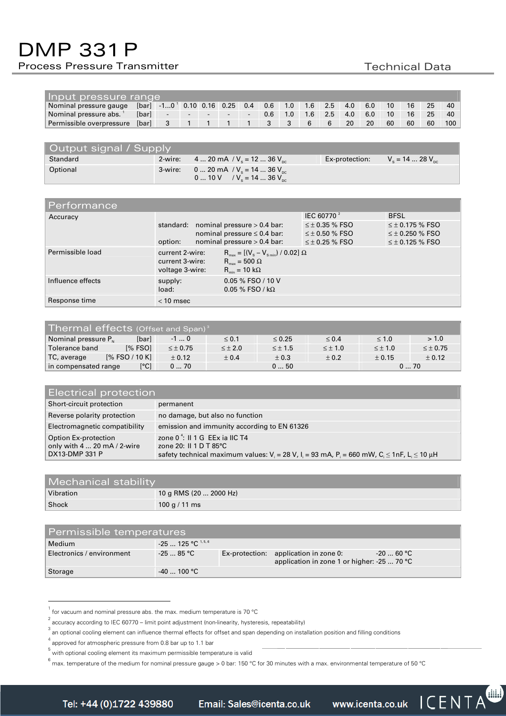# DMP 331 P

# Process Pressure Transmitter The Controller Controller Technical Data

| Input pressure range     |       |                                                     |  |        |  |                          |               |     |     |     |     |     |    |    |    |     |
|--------------------------|-------|-----------------------------------------------------|--|--------|--|--------------------------|---------------|-----|-----|-----|-----|-----|----|----|----|-----|
| Nominal pressure gauge   |       | $[bar]$ -10 <sup>1</sup> 0.10 0.16 0.25 0.4 0.6 1.0 |  |        |  |                          |               |     | 1.6 | 2.5 | 4.0 | 6.0 | 10 | 16 | 25 | 40  |
| Nominal pressure abs.    | [bar] |                                                     |  | $\sim$ |  | $\overline{\phantom{a}}$ | $0.6^{\circ}$ | 1.0 | 1.6 | 2.5 | 4.0 | 6.0 | 10 | 16 | 25 | 40  |
| Permissible overpressure | [bar] |                                                     |  |        |  |                          |               |     |     |     | 20  | 20  | 60 | 60 | 60 | 100 |

| Output signal / Supply |  |                                                                            |                |                     |  |  |  |
|------------------------|--|----------------------------------------------------------------------------|----------------|---------------------|--|--|--|
| Standard               |  | 2-wire: 4  20 mA / $V_s$ = 12  36 $V_{nc}$                                 | Ex-protection: | $V_s = 1428 V_{sc}$ |  |  |  |
| Optional               |  | 3-wire: 0  20 mA / $V_e$ = 14  36 $V_{sc}$<br>0  10 V / $Vs = 14$ 36 $Vsc$ |                |                     |  |  |  |

| Performance       |                                                       |                                                                                                                                         |                                                                         |                                                                            |
|-------------------|-------------------------------------------------------|-----------------------------------------------------------------------------------------------------------------------------------------|-------------------------------------------------------------------------|----------------------------------------------------------------------------|
| Accuracy          |                                                       |                                                                                                                                         | IEC 60770 <sup>2</sup>                                                  | <b>BFSL</b>                                                                |
|                   | standard: nominal pressure $> 0.4$ bar:<br>option:    | nominal pressure $\leq 0.4$ bar:<br>nominal pressure $> 0.4$ bar:                                                                       | $\leq \pm 0.35$ % FSO<br>$\leq \pm 0.50$ % FSO<br>$\leq \pm$ 0.25 % FSO | $\leq \pm 0.175$ % FSO<br>$\leq \pm$ 0.250 % FSO<br>$\leq \pm 0.125$ % FSO |
| Permissible load  | current 2-wire:<br>current 3-wire:<br>voltage 3-wire: | $R_{\text{max}} = [(V_s - V_{s_{\text{min}}}) / 0.02] \Omega$<br>$R_{\text{max}} = 500 \Omega$<br>$R_{\text{min}} = 10 \text{ k}\Omega$ |                                                                         |                                                                            |
| Influence effects | supply:<br>load:                                      | 0.05 % FSO / 10 V<br>0.05 % FSO / kΩ                                                                                                    |                                                                         |                                                                            |
| Response time     | $<$ 10 msec                                           |                                                                                                                                         |                                                                         |                                                                            |

| Thermal effects (Offset and Span) <sup>3</sup> |            |                 |                |                |                |                |                 |  |  |
|------------------------------------------------|------------|-----------------|----------------|----------------|----------------|----------------|-----------------|--|--|
| Nominal pressure P <sub>N</sub>                | [bar]      | $-1$ 0          | $\leq 0.1$     | $\leq 0.25$    | $\leq 0.4$     | $\leq 1.0$     | > 1.0           |  |  |
| Tolerance band                                 | $1\%$ FSO1 | $\leq \pm 0.75$ | $\leq \pm 2.0$ | $\leq \pm 1.5$ | $\leq \pm 1.0$ | $\leq \pm 1.0$ | $\leq \pm 0.75$ |  |  |
| $[%$ FSO / 10 K]<br>TC, average                |            | ± 0.12          | ± 0.4          | ± 0.3          | ± 0.2          | ± 0.15         | ± 0.12          |  |  |
| in compensated range                           | [°C]       | 070             |                | 0  50          |                | 070            |                 |  |  |

| <b>Electrical protection</b>                                          |                                                                                                                                                                                           |  |  |  |  |  |
|-----------------------------------------------------------------------|-------------------------------------------------------------------------------------------------------------------------------------------------------------------------------------------|--|--|--|--|--|
| Short-circuit protection                                              | permanent                                                                                                                                                                                 |  |  |  |  |  |
| Reverse polarity protection                                           | no damage, but also no function                                                                                                                                                           |  |  |  |  |  |
| Electromagnetic compatibility                                         | emission and immunity according to EN 61326                                                                                                                                               |  |  |  |  |  |
| Option Ex-protection<br>only with 4  20 mA / 2-wire<br>DX13-DMP 331 P | zone $0^4$ : II 1 G EEx ia IIC T4<br>zone 20: $II$ 1 D T 85 $°C$<br>safety technical maximum values: $V_i = 28 V_i$ , $l_i = 93$ mA, $P_i = 660$ mW, $C_i \le 1nF_i$ , $L_i \le 10 \mu H$ |  |  |  |  |  |

| Mechanical stability |                        |
|----------------------|------------------------|
| Vibration            | 10 g RMS (20  2000 Hz) |
| Shock                | 100 g / 11 ms          |

| Permissible temperatures  |                         |  |                                                                                      |             |  |  |  |  |
|---------------------------|-------------------------|--|--------------------------------------------------------------------------------------|-------------|--|--|--|--|
| Medium                    | $-25$ 125 °C $^{1,5,6}$ |  |                                                                                      |             |  |  |  |  |
| Electronics / environment | -25  85 °C              |  | Ex-protection: application in zone 0:<br>application in zone 1 or higher: -25  70 °C | $-20$ 60 °C |  |  |  |  |
| Storage                   | $-40$ 100 °C            |  |                                                                                      |             |  |  |  |  |

 $^{1}$  for vacuum and nominal pressure abs. the max. medium temperature is 70 °C

 $^2$  accuracy according to IEC 60770 – limit point adjustment (non-linearity, hysteresis, repeatability)

<sup>&</sup>lt;sup>3</sup> an optional cooling element can influence thermal effects for offset and span depending on installation position and filling conditions and the state of the state of the state of the state of the state of the state of

approved for atmospheric pressure from 0.8 bar up to 1.1 bar

<sup>5</sup> with optional cooling element its maximum permissible temperature is valid

<sup>6</sup> max. temperature of the medium for nominal pressure gauge > 0 bar: 150 °C for 30 minutes with a max. environmental temperature of 50 °C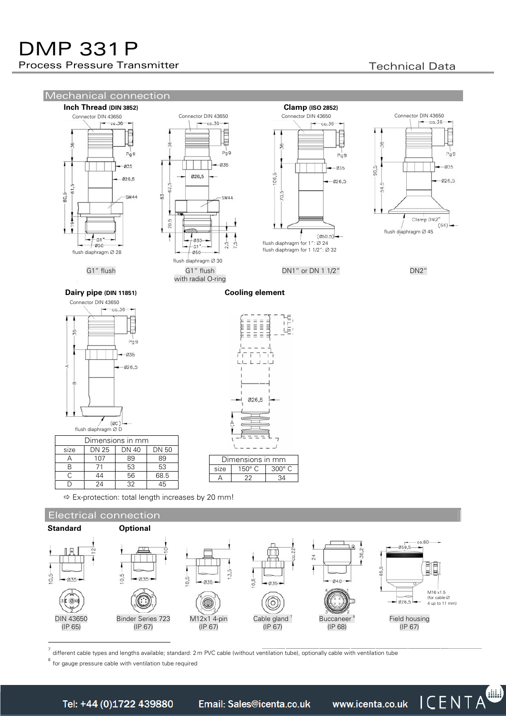



7 different cable types and lengths available; standard: 2 m PVC cable (without ventilation tube), optionally cable with ventilation tube

8 for gauge pressure cable with ventilation tube required

Email: Sales@icenta.co.uk

www.icenta.co.uk ICENTA